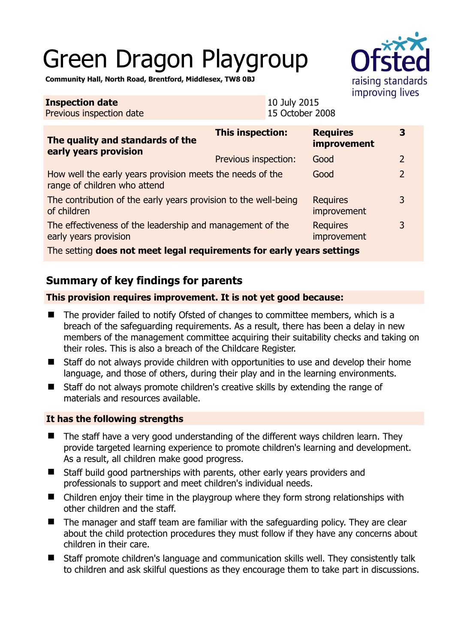# Green Dragon Playgroup



**Community Hall, North Road, Brentford, Middlesex, TW8 0BJ** 

| <b>Inspection date</b><br>Previous inspection date                                        |                         | 10 July 2015<br>15 October 2008 |                                       |                |
|-------------------------------------------------------------------------------------------|-------------------------|---------------------------------|---------------------------------------|----------------|
| The quality and standards of the<br>early years provision                                 | <b>This inspection:</b> |                                 | <b>Requires</b><br><b>improvement</b> | 3              |
|                                                                                           | Previous inspection:    |                                 | Good                                  | $\overline{2}$ |
| How well the early years provision meets the needs of the<br>range of children who attend |                         |                                 | Good                                  | $\overline{2}$ |
| The contribution of the early years provision to the well-being<br>of children            |                         |                                 | <b>Requires</b><br>improvement        | 3              |
| The effectiveness of the leadership and management of the<br>early years provision        |                         |                                 | <b>Requires</b><br>improvement        | 3              |
| The setting does not meet legal requirements for early years settings                     |                         |                                 |                                       |                |

# **Summary of key findings for parents**

#### **This provision requires improvement. It is not yet good because:**

- The provider failed to notify Ofsted of changes to committee members, which is a breach of the safeguarding requirements. As a result, there has been a delay in new members of the management committee acquiring their suitability checks and taking on their roles. This is also a breach of the Childcare Register.
- Staff do not always provide children with opportunities to use and develop their home language, and those of others, during their play and in the learning environments.
- Staff do not always promote children's creative skills by extending the range of materials and resources available.

#### **It has the following strengths**

- The staff have a very good understanding of the different ways children learn. They provide targeted learning experience to promote children's learning and development. As a result, all children make good progress.
- Staff build good partnerships with parents, other early years providers and professionals to support and meet children's individual needs.
- Children enjoy their time in the playgroup where they form strong relationships with other children and the staff.
- The manager and staff team are familiar with the safeguarding policy. They are clear about the child protection procedures they must follow if they have any concerns about children in their care.
- Staff promote children's language and communication skills well. They consistently talk to children and ask skilful questions as they encourage them to take part in discussions.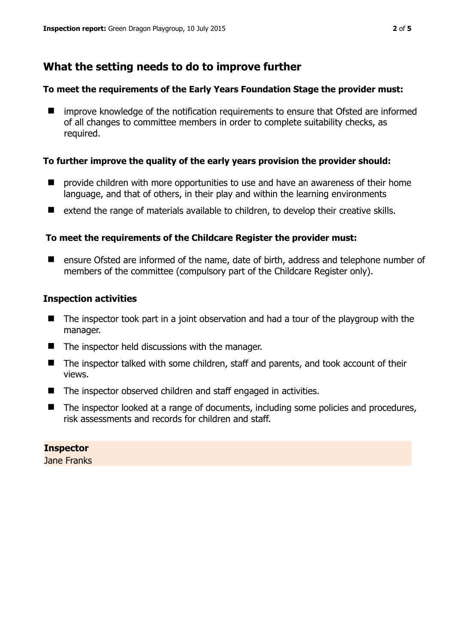## **What the setting needs to do to improve further**

#### **To meet the requirements of the Early Years Foundation Stage the provider must:**

■ improve knowledge of the notification requirements to ensure that Ofsted are informed of all changes to committee members in order to complete suitability checks, as required.

#### **To further improve the quality of the early years provision the provider should:**

- provide children with more opportunities to use and have an awareness of their home language, and that of others, in their play and within the learning environments
- extend the range of materials available to children, to develop their creative skills.

#### **To meet the requirements of the Childcare Register the provider must:**

■ ensure Ofsted are informed of the name, date of birth, address and telephone number of members of the committee (compulsory part of the Childcare Register only).

#### **Inspection activities**

- The inspector took part in a joint observation and had a tour of the playgroup with the manager.
- $\blacksquare$  The inspector held discussions with the manager.
- The inspector talked with some children, staff and parents, and took account of their views.
- The inspector observed children and staff engaged in activities.
- The inspector looked at a range of documents, including some policies and procedures, risk assessments and records for children and staff.

## **Inspector**

Jane Franks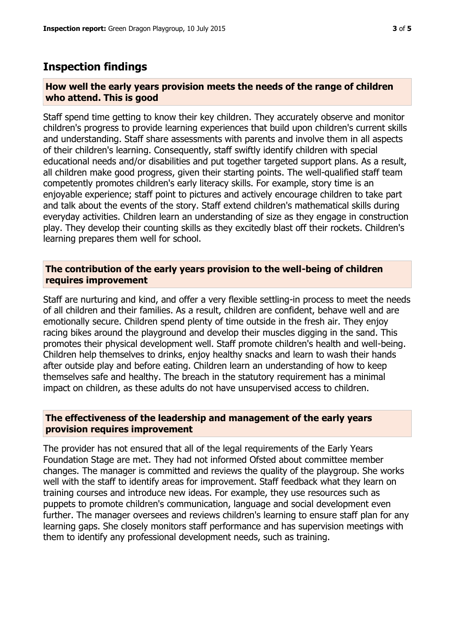## **Inspection findings**

#### **How well the early years provision meets the needs of the range of children who attend. This is good**

Staff spend time getting to know their key children. They accurately observe and monitor children's progress to provide learning experiences that build upon children's current skills and understanding. Staff share assessments with parents and involve them in all aspects of their children's learning. Consequently, staff swiftly identify children with special educational needs and/or disabilities and put together targeted support plans. As a result, all children make good progress, given their starting points. The well-qualified staff team competently promotes children's early literacy skills. For example, story time is an enjoyable experience; staff point to pictures and actively encourage children to take part and talk about the events of the story. Staff extend children's mathematical skills during everyday activities. Children learn an understanding of size as they engage in construction play. They develop their counting skills as they excitedly blast off their rockets. Children's learning prepares them well for school.

#### **The contribution of the early years provision to the well-being of children requires improvement**

Staff are nurturing and kind, and offer a very flexible settling-in process to meet the needs of all children and their families. As a result, children are confident, behave well and are emotionally secure. Children spend plenty of time outside in the fresh air. They enjoy racing bikes around the playground and develop their muscles digging in the sand. This promotes their physical development well. Staff promote children's health and well-being. Children help themselves to drinks, enjoy healthy snacks and learn to wash their hands after outside play and before eating. Children learn an understanding of how to keep themselves safe and healthy. The breach in the statutory requirement has a minimal impact on children, as these adults do not have unsupervised access to children.

#### **The effectiveness of the leadership and management of the early years provision requires improvement**

The provider has not ensured that all of the legal requirements of the Early Years Foundation Stage are met. They had not informed Ofsted about committee member changes. The manager is committed and reviews the quality of the playgroup. She works well with the staff to identify areas for improvement. Staff feedback what they learn on training courses and introduce new ideas. For example, they use resources such as puppets to promote children's communication, language and social development even further. The manager oversees and reviews children's learning to ensure staff plan for any learning gaps. She closely monitors staff performance and has supervision meetings with them to identify any professional development needs, such as training.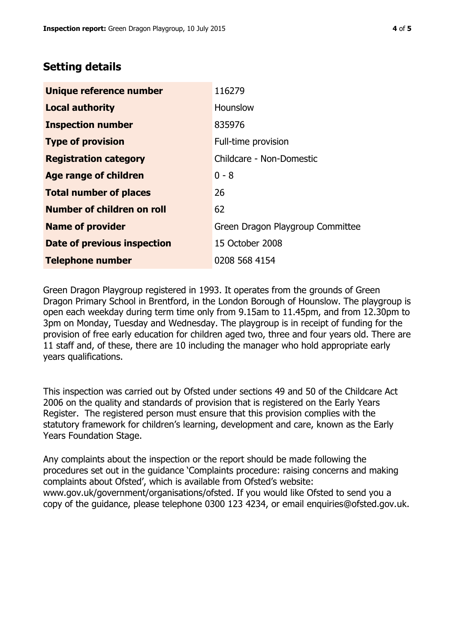## **Setting details**

| Unique reference number       | 116279                           |  |
|-------------------------------|----------------------------------|--|
| <b>Local authority</b>        | Hounslow                         |  |
| <b>Inspection number</b>      | 835976                           |  |
| <b>Type of provision</b>      | Full-time provision              |  |
| <b>Registration category</b>  | Childcare - Non-Domestic         |  |
| <b>Age range of children</b>  | $0 - 8$                          |  |
| <b>Total number of places</b> | 26                               |  |
| Number of children on roll    | 62                               |  |
| <b>Name of provider</b>       | Green Dragon Playgroup Committee |  |
| Date of previous inspection   | 15 October 2008                  |  |
| <b>Telephone number</b>       | 0208 568 4154                    |  |

Green Dragon Playgroup registered in 1993. It operates from the grounds of Green Dragon Primary School in Brentford, in the London Borough of Hounslow. The playgroup is open each weekday during term time only from 9.15am to 11.45pm, and from 12.30pm to 3pm on Monday, Tuesday and Wednesday. The playgroup is in receipt of funding for the provision of free early education for children aged two, three and four years old. There are 11 staff and, of these, there are 10 including the manager who hold appropriate early years qualifications.

This inspection was carried out by Ofsted under sections 49 and 50 of the Childcare Act 2006 on the quality and standards of provision that is registered on the Early Years Register. The registered person must ensure that this provision complies with the statutory framework for children's learning, development and care, known as the Early Years Foundation Stage.

Any complaints about the inspection or the report should be made following the procedures set out in the guidance 'Complaints procedure: raising concerns and making complaints about Ofsted', which is available from Ofsted's website: www.gov.uk/government/organisations/ofsted. If you would like Ofsted to send you a copy of the guidance, please telephone 0300 123 4234, or email enquiries@ofsted.gov.uk.